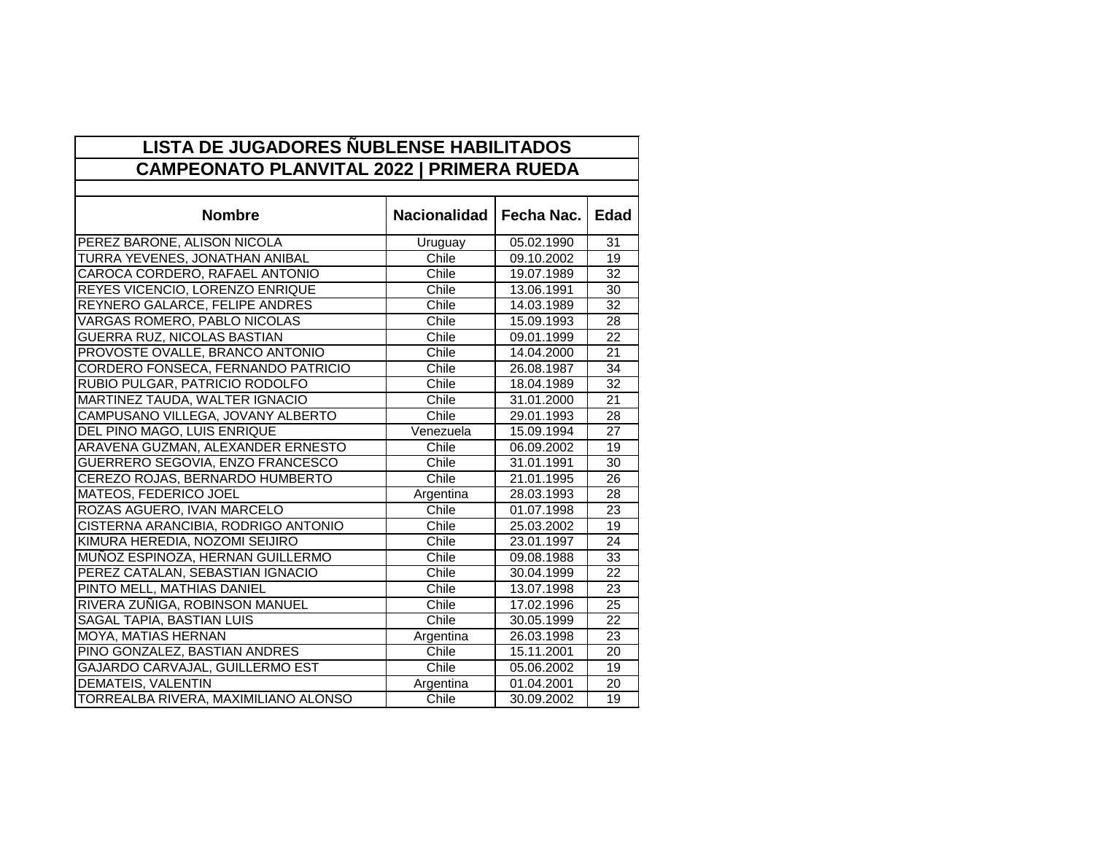| <b>LISTA DE JUGADORES NUBLENSE HABILITADOS</b><br><b>CAMPEONATO PLANVITAL 2022   PRIMERA RUEDA</b> |                     |            |                 |  |
|----------------------------------------------------------------------------------------------------|---------------------|------------|-----------------|--|
|                                                                                                    |                     |            |                 |  |
| <b>Nombre</b>                                                                                      | <b>Nacionalidad</b> | Fecha Nac. | <b>Edad</b>     |  |
| PEREZ BARONE, ALISON NICOLA                                                                        | Uruguay             | 05.02.1990 | 31              |  |
| TURRA YEVENES, JONATHAN ANIBAL                                                                     | Chile               | 09.10.2002 | 19              |  |
| CAROCA CORDERO, RAFAEL ANTONIO                                                                     | Chile               | 19.07.1989 | $\overline{32}$ |  |
| REYES VICENCIO, LORENZO ENRIQUE                                                                    | Chile               | 13.06.1991 | 30              |  |
| REYNERO GALARCE, FELIPE ANDRES                                                                     | Chile               | 14.03.1989 | 32              |  |
| <b>VARGAS ROMERO, PABLO NICOLAS</b>                                                                | Chile               | 15.09.1993 | 28              |  |
| <b>GUERRA RUZ, NICOLAS BASTIAN</b>                                                                 | Chile               | 09.01.1999 | 22              |  |
| PROVOSTE OVALLE, BRANCO ANTONIO                                                                    | Chile               | 14.04.2000 | $\overline{21}$ |  |
| CORDERO FONSECA, FERNANDO PATRICIO                                                                 | Chile               | 26.08.1987 | 34              |  |
| RUBIO PULGAR, PATRICIO RODOLFO                                                                     | Chile               | 18.04.1989 | $\overline{32}$ |  |
| MARTINEZ TAUDA, WALTER IGNACIO                                                                     | Chile               | 31.01.2000 | 21              |  |
| CAMPUSANO VILLEGA, JOVANY ALBERTO                                                                  | Chile               | 29.01.1993 | 28              |  |
| DEL PINO MAGO, LUIS ENRIQUE                                                                        | Venezuela           | 15.09.1994 | 27              |  |
| ARAVENA GUZMAN, ALEXANDER ERNESTO                                                                  | Chile               | 06.09.2002 | 19              |  |
| GUERRERO SEGOVIA, ENZO FRANCESCO                                                                   | Chile               | 31.01.1991 | $\overline{30}$ |  |
| CEREZO ROJAS, BERNARDO HUMBERTO                                                                    | Chile               | 21.01.1995 | 26              |  |
| <b>MATEOS, FEDERICO JOEL</b>                                                                       | Argentina           | 28.03.1993 | 28              |  |
| ROZAS AGUERO, IVAN MARCELO                                                                         | Chile               | 01.07.1998 | $\overline{23}$ |  |
| CISTERNA ARANCIBIA, RODRIGO ANTONIO                                                                | Chile               | 25.03.2002 | 19              |  |
| KIMURA HEREDIA, NOZOMI SEIJIRO                                                                     | Chile               | 23.01.1997 | 24              |  |
| MUÑOZ ESPINOZA, HERNAN GUILLERMO                                                                   | Chile               | 09.08.1988 | 33              |  |
| PEREZ CATALAN, SEBASTIAN IGNACIO                                                                   | Chile               | 30.04.1999 | $\overline{22}$ |  |
| PINTO MELL, MATHIAS DANIEL                                                                         | Chile               | 13.07.1998 | 23              |  |
| RIVERA ZUÑIGA, ROBINSON MANUEL                                                                     | Chile               | 17.02.1996 | $\overline{25}$ |  |
| <b>SAGAL TAPIA, BASTIAN LUIS</b>                                                                   | Chile               | 30.05.1999 | 22              |  |
| MOYA, MATIAS HERNAN                                                                                | Argentina           | 26.03.1998 | 23              |  |
| PINO GONZALEZ, BASTIAN ANDRES                                                                      | Chile               | 15.11.2001 | 20              |  |
| GAJARDO CARVAJAL, GUILLERMO EST                                                                    | Chile               | 05.06.2002 | 19              |  |
| <b>DEMATEIS, VALENTIN</b>                                                                          | Argentina           | 01.04.2001 | 20              |  |
| TORREALBA RIVERA, MAXIMILIANO ALONSO                                                               | Chile               | 30.09.2002 | 19              |  |